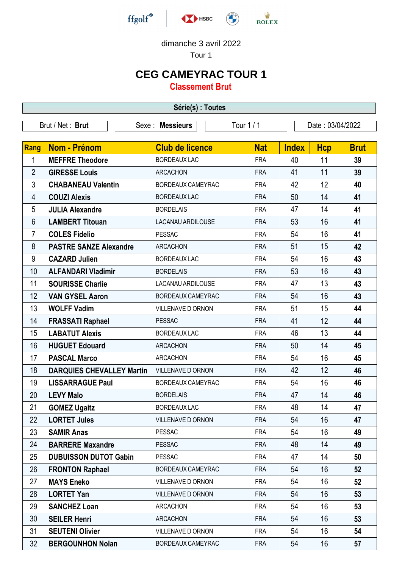

## dimanche 3 avril 2022

Tour 1

## **CEG CAMEYRAC TOUR 1**

**Classement Brut**

| Série(s) : Toutes |                                  |                           |            |              |                  |             |  |  |  |  |
|-------------------|----------------------------------|---------------------------|------------|--------------|------------------|-------------|--|--|--|--|
| Brut / Net: Brut  |                                  | <b>Messieurs</b><br>Sexe: | Tour 1 / 1 |              | Date: 03/04/2022 |             |  |  |  |  |
|                   |                                  |                           |            |              |                  |             |  |  |  |  |
| Rang              | Nom - Prénom                     | <b>Club de licence</b>    | <b>Nat</b> | <b>Index</b> | <b>Hcp</b>       | <b>Brut</b> |  |  |  |  |
| 1                 | <b>MEFFRE Theodore</b>           | <b>BORDEAUX LAC</b>       | <b>FRA</b> | 40           | 11               | 39          |  |  |  |  |
| $\overline{2}$    | <b>GIRESSE Louis</b>             | <b>ARCACHON</b>           | <b>FRA</b> | 41           | 11               | 39          |  |  |  |  |
| 3                 | <b>CHABANEAU Valentin</b>        | BORDEAUX CAMEYRAC         | <b>FRA</b> | 42           | 12               | 40          |  |  |  |  |
| 4                 | <b>COUZI Alexis</b>              | <b>BORDEAUX LAC</b>       | <b>FRA</b> | 50           | 14               | 41          |  |  |  |  |
| 5                 | <b>JULIA Alexandre</b>           | <b>BORDELAIS</b>          | <b>FRA</b> | 47           | 14               | 41          |  |  |  |  |
| 6                 | <b>LAMBERT Titouan</b>           | LACANAU ARDILOUSE         | <b>FRA</b> | 53           | 16               | 41          |  |  |  |  |
| $\overline{7}$    | <b>COLES Fidelio</b>             | <b>PESSAC</b>             | <b>FRA</b> | 54           | 16               | 41          |  |  |  |  |
| 8                 | <b>PASTRE SANZE Alexandre</b>    | <b>ARCACHON</b>           | <b>FRA</b> | 51           | 15               | 42          |  |  |  |  |
| 9                 | <b>CAZARD Julien</b>             | <b>BORDEAUX LAC</b>       | <b>FRA</b> | 54           | 16               | 43          |  |  |  |  |
| 10                | <b>ALFANDARI Vladimir</b>        | <b>BORDELAIS</b>          | <b>FRA</b> | 53           | 16               | 43          |  |  |  |  |
| 11                | <b>SOURISSE Charlie</b>          | <b>LACANAU ARDILOUSE</b>  | <b>FRA</b> | 47           | 13               | 43          |  |  |  |  |
| 12                | <b>VAN GYSEL Aaron</b>           | BORDEAUX CAMEYRAC         | <b>FRA</b> | 54           | 16               | 43          |  |  |  |  |
| 13                | <b>WOLFF Vadim</b>               | VILLENAVE D ORNON         | <b>FRA</b> | 51           | 15               | 44          |  |  |  |  |
| 14                | <b>FRASSATI Raphael</b>          | <b>PESSAC</b>             | <b>FRA</b> | 41           | 12               | 44          |  |  |  |  |
| 15                | <b>LABATUT Alexis</b>            | <b>BORDEAUX LAC</b>       | <b>FRA</b> | 46           | 13               | 44          |  |  |  |  |
| 16                | <b>HUGUET Edouard</b>            | <b>ARCACHON</b>           | <b>FRA</b> | 50           | 14               | 45          |  |  |  |  |
| 17                | <b>PASCAL Marco</b>              | <b>ARCACHON</b>           | <b>FRA</b> | 54           | 16               | 45          |  |  |  |  |
| 18                | <b>DARQUIES CHEVALLEY Martin</b> | VILLENAVE D ORNON         | <b>FRA</b> | 42           | 12               | 46          |  |  |  |  |
| 19                | <b>LISSARRAGUE Paul</b>          | BORDEAUX CAMEYRAC         | <b>FRA</b> | 54           | 16               | 46          |  |  |  |  |
| 20                | <b>LEVY Malo</b>                 | <b>BORDELAIS</b>          | <b>FRA</b> | 47           | 14               | 46          |  |  |  |  |
| 21                | <b>GOMEZ Ugaitz</b>              | <b>BORDEAUX LAC</b>       | <b>FRA</b> | 48           | 14               | 47          |  |  |  |  |
| 22                | <b>LORTET Jules</b>              | <b>VILLENAVE D ORNON</b>  | <b>FRA</b> | 54           | 16               | 47          |  |  |  |  |
| 23                | <b>SAMIR Anas</b>                | <b>PESSAC</b>             | <b>FRA</b> | 54           | 16               | 49          |  |  |  |  |
| 24                | <b>BARRERE Maxandre</b>          | <b>PESSAC</b>             | <b>FRA</b> | 48           | 14               | 49          |  |  |  |  |
| 25                | <b>DUBUISSON DUTOT Gabin</b>     | <b>PESSAC</b>             | <b>FRA</b> | 47           | 14               | 50          |  |  |  |  |
| 26                | <b>FRONTON Raphael</b>           | BORDEAUX CAMEYRAC         | <b>FRA</b> | 54           | 16               | 52          |  |  |  |  |
| 27                | <b>MAYS Eneko</b>                | VILLENAVE D ORNON         | <b>FRA</b> | 54           | 16               | 52          |  |  |  |  |
| 28                | <b>LORTET Yan</b>                | VILLENAVE D ORNON         | <b>FRA</b> | 54           | 16               | 53          |  |  |  |  |
| 29                | <b>SANCHEZ Loan</b>              | <b>ARCACHON</b>           | <b>FRA</b> | 54           | 16               | 53          |  |  |  |  |
| 30                | <b>SEILER Henri</b>              | <b>ARCACHON</b>           | <b>FRA</b> | 54           | 16               | 53          |  |  |  |  |
| 31                | <b>SEUTENI Olivier</b>           | VILLENAVE D ORNON         | <b>FRA</b> | 54           | 16               | 54          |  |  |  |  |
| 32                | <b>BERGOUNHON Nolan</b>          | BORDEAUX CAMEYRAC         | <b>FRA</b> | 54           | 16               | 57          |  |  |  |  |